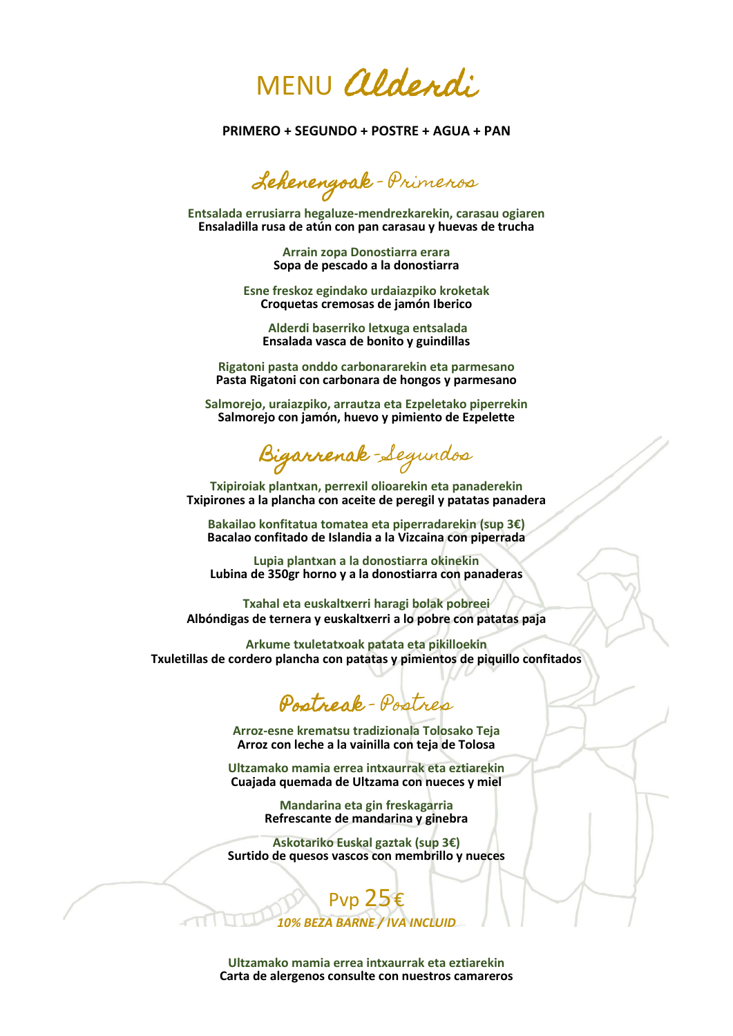MENU Alderdi

**PRIMERO + SEGUNDO + POSTRE + AGUA + PAN**

Lehenengoak - Primeros

**Entsalada errusiarra hegaluze-mendrezkarekin, carasau ogiaren Ensaladilla rusa de atún con pan carasau y huevas de trucha**

> **Arrain zopa Donostiarra erara Sopa de pescado a la donostiarra**

**Esne freskoz egindako urdaiazpiko kroketak Croquetas cremosas de jamón Iberico**

**Alderdi baserriko letxuga entsalada Ensalada vasca de bonito y guindillas** 

**Rigatoni pasta onddo carbonararekin eta parmesano Pasta Rigatoni con carbonara de hongos y parmesano**

**Salmorejo, uraiazpiko, arrautza eta Ezpeletako piperrekin Salmorejo con jamón, huevo y pimiento de Ezpelette**

Bigarrenak – Segundos

**Txipiroiak plantxan, perrexil olioarekin eta panaderekin Txipirones a la plancha con aceite de peregil y patatas panadera**

**Bakailao konfitatua tomatea eta piperradarekin (sup 3€) Bacalao confitado de Islandia a la Vizcaina con piperrada**

**Lupia plantxan a la donostiarra okinekin Lubina de 350gr horno y a la donostiarra con panaderas**

**Txahal eta euskaltxerri haragi bolak pobreei Albóndigas de ternera y euskaltxerri a lo pobre con patatas paja**

**Arkume txuletatxoak patata eta pikilloekin Txuletillas de cordero plancha con patatas y pimientos de piquillo confitados**

Postreak - Postres

**Arroz-esne krematsu tradizionala Tolosako Teja Arroz con leche a la vainilla con teja de Tolosa**

**Ultzamako mamia errea intxaurrak eta eztiarekin Cuajada quemada de Ultzama con nueces y miel**

> **Mandarina eta gin freskagarria Refrescante de mandarina y ginebra**

**Askotariko Euskal gaztak (sup 3€) Surtido de quesos vascos con membrillo y nueces**

> Pvp 25€ *10% BEZA BARNE / IVA INCLUID*

**Ultzamako mamia errea intxaurrak eta eztiarekin Carta de alergenos consulte con nuestros camareros**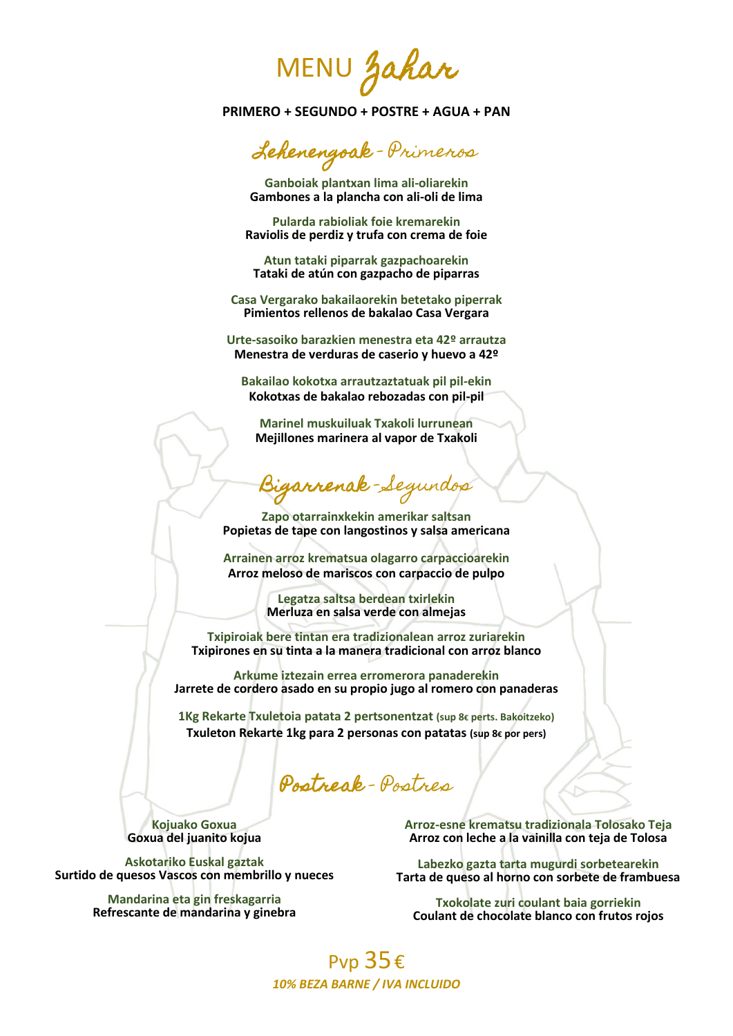MENU Zahar

**PRIMERO + SEGUNDO + POSTRE + AGUA + PAN**

Lehenengoak - Primeros

**Ganboiak plantxan lima ali-oliarekin Gambones a la plancha con ali-oli de lima** 

**Pularda rabioliak foie kremarekin Raviolis de perdiz y trufa con crema de foie** 

**Atun tataki piparrak gazpachoarekin Tataki de atún con gazpacho de piparras** 

**Casa Vergarako bakailaorekin betetako piperrak Pimientos rellenos de bakalao Casa Vergara**

**Urte-sasoiko barazkien menestra eta 42º arrautza Menestra de verduras de caserio y huevo a 42º**

**Bakailao kokotxa arrautzaztatuak pil pil-ekin Kokotxas de bakalao rebozadas con pil-pil**

**Marinel muskuiluak Txakoli lurrunean Mejillones marinera al vapor de Txakoli**

Bigarrenak - Segundos

**Zapo otarrainxkekin amerikar saltsan Popietas de tape con langostinos y salsa americana**

**Arrainen arroz krematsua olagarro carpaccioarekin Arroz meloso de mariscos con carpaccio de pulpo**

> **Legatza saltsa berdean txirlekin Merluza en salsa verde con almejas**

**Txipiroiak bere tintan era tradizionalean arroz zuriarekin Txipirones en su tinta a la manera tradicional con arroz blanco**

**Arkume iztezain errea erromerora panaderekin Jarrete de cordero asado en su propio jugo al romero con panaderas**

**1Kg Rekarte Txuletoia patata 2 pertsonentzat (sup 8€ perts. Bakoitzeko) Txuleton Rekarte 1kg para 2 personas con patatas (sup 8€ por pers)**

Postreak - Postres

**Kojuako Goxua Goxua del juanito kojua**

**Askotariko Euskal gaztak Surtido de quesos Vascos con membrillo y nueces**

> **Mandarina eta gin freskagarria Refrescante de mandarina y ginebra**

**Arroz-esne krematsu tradizionala Tolosako Teja Arroz con leche a la vainilla con teja de Tolosa**

**Labezko gazta tarta mugurdi sorbetearekin Tarta de queso al horno con sorbete de frambuesa** 

**Txokolate zuri coulant baia gorriekin Coulant de chocolate blanco con frutos rojos**

#### Pvp 35€ *10% BEZA BARNE / IVA INCLUIDO*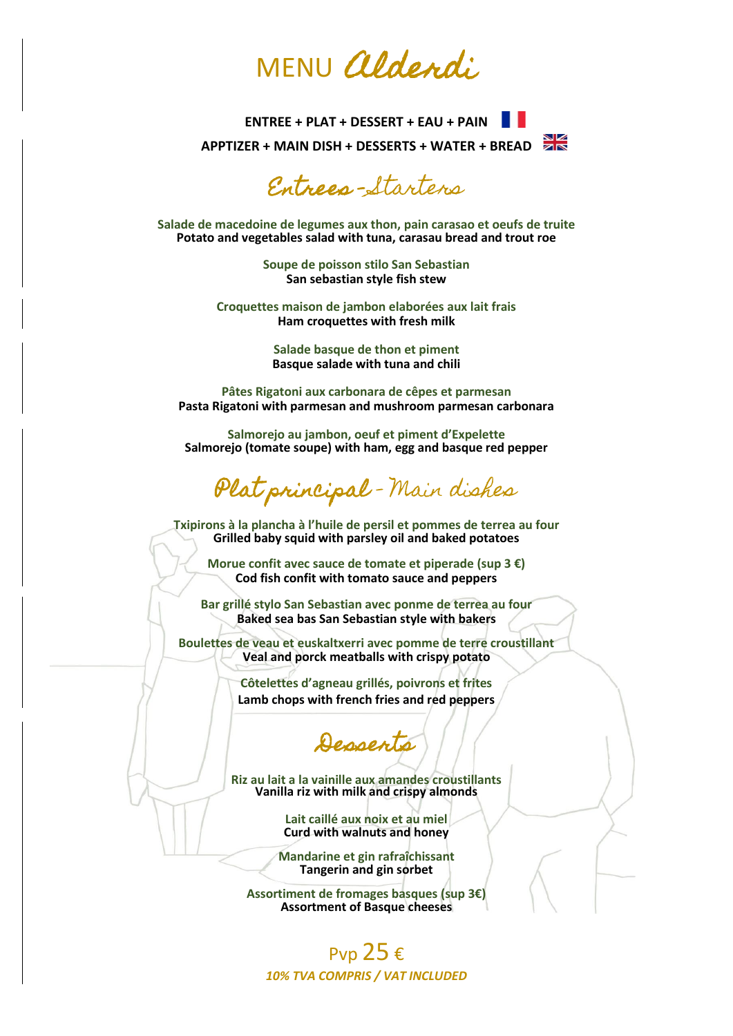# MENU *aldendi*

**ENTREE + PLAT + DESSERT + EAU + PAIN APPTIZER + MAIN DISH + DESSERTS + WATER + BREAD**

Entrees - Starters

**Salade de macedoine de legumes aux thon, pain carasao et oeufs de truite Potato and vegetables salad with tuna, carasau bread and trout roe**

> **Soupe de poisson stilo San Sebastian San sebastian style fish stew**

**Croquettes maison de jambon elaborées aux lait frais Ham croquettes with fresh milk**

> **Salade basque de thon et piment Basque salade with tuna and chili**

**Pâtes Rigatoni aux carbonara de cêpes et parmesan Pasta Rigatoni with parmesan and mushroom parmesan carbonara** 

**Salmorejo au jambon, oeuf et piment d'Expelette Salmorejo (tomate soupe) with ham, egg and basque red pepper**

Plat principal – Main dishes

**Txipirons à la plancha à l'huile de persil et pommes de terrea au four Grilled baby squid with parsley oil and baked potatoes**

**Morue confit avec sauce de tomate et piperade (sup 3 €) Cod fish confit with tomato sauce and peppers**

**Bar grillé stylo San Sebastian avec ponme de terrea au four Baked sea bas San Sebastian style with bakers**

**Boulettes de veau et euskaltxerri avec pomme de terre croustillant Veal and porck meatballs with crispy potato**

> **Côtelettes d'agneau grillés, poivrons et frites Lamb chops with french fries and red peppers**

Desserts

**Riz au lait a la vainille aux amandes croustillants Vanilla riz with milk and crispy almonds**

> **Lait caillé aux noix et au miel Curd with walnuts and honey**

**Mandarine et gin rafraîchissant Tangerin and gin sorbet**

**Assortiment de fromages basques (sup 3€) Assortment of Basque cheeses**

### Pvp  $25€$ *10% TVA COMPRIS / VAT INCLUDED*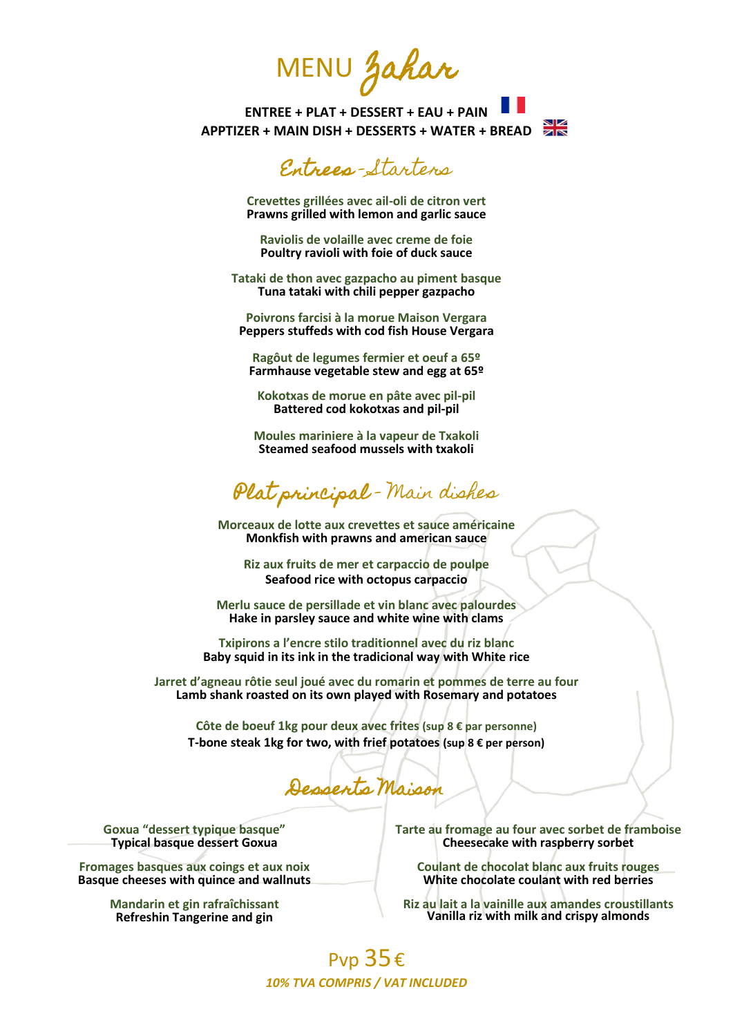MENU Zahar

**ENTREE + PLAT + DESSERT + EAU + PAIN APPTIZER + MAIN DISH + DESSERTS + WATER + BREAD**

## Entrees - Starters

**Crevettes grillées avec ail-oli de citron vert Prawns grilled with lemon and garlic sauce**

**Raviolis de volaille avec creme de foie Poultry ravioli with foie of duck sauce**

**Tataki de thon avec gazpacho au piment basque Tuna tataki with chili pepper gazpacho**

**Poivrons farcisi à la morue Maison Vergara Peppers stuffeds with cod fish House Vergara**

**Ragôut de legumes fermier et oeuf a 65º Farmhause vegetable stew and egg at 65º**

**Kokotxas de morue en pâte avec pil-pil Battered cod kokotxas and pil-pil**

**Moules mariniere à la vapeur de Txakoli Steamed seafood mussels with txakoli**

Plat principal – Main dishes

**Morceaux de lotte aux crevettes et sauce américaine Monkfish with prawns and american sauce**

**Riz aux fruits de mer et carpaccio de poulpe Seafood rice with octopus carpaccio**

**Merlu sauce de persillade et vin blanc avec palourdes Hake in parsley sauce and white wine with clams**

**Txipirons a l'encre stilo traditionnel avec du riz blanc Baby squid in its ink in the tradicional way with White rice**

**Jarret d'agneau rôtie seul joué avec du romarin et pommes de terre au four Lamb shank roasted on its own played with Rosemary and potatoes**

**Côte de boeuf 1kg pour deux avec frites (sup 8 € par personne) T-bone steak 1kg for two, with frief potatoes (sup 8 € per person)**

Desserts Maison

**Goxua "dessert typique basque" Typical basque dessert Goxua**

**Fromages basques aux coings et aux noix Basque cheeses with quince and wallnuts**

> **Mandarin et gin rafraîchissant Refreshin Tangerine and gin**

**Tarte au fromage au four avec sorbet de framboise Cheesecake with raspberry sorbet**

**Coulant de chocolat blanc aux fruits rouges White chocolate coulant with red berries**

**Riz au lait a la vainille aux amandes croustillants Vanilla riz with milk and crispy almonds**

#### Pvp 35€ *10% TVA COMPRIS / VAT INCLUDED*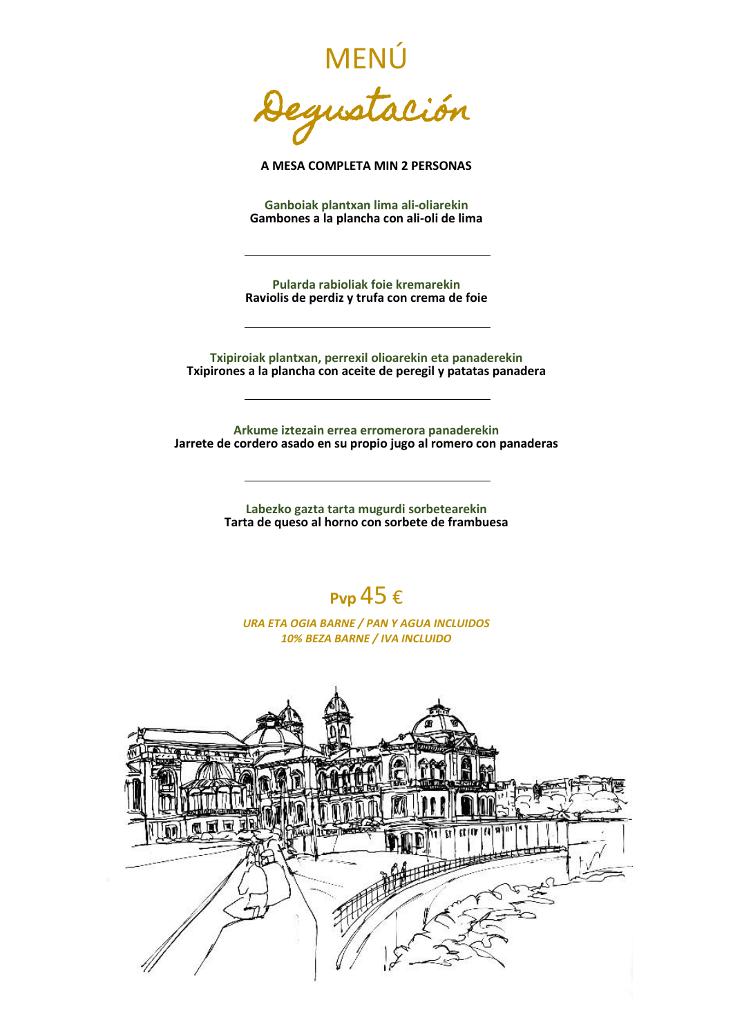MENÚ Degustación

**A MESA COMPLETA MIN 2 PERSONAS**

**Ganboiak plantxan lima ali-oliarekin Gambones a la plancha con ali-oli de lima** 

**Pularda rabioliak foie kremarekin Raviolis de perdiz y trufa con crema de foie**

**Txipiroiak plantxan, perrexil olioarekin eta panaderekin Txipirones a la plancha con aceite de peregil y patatas panadera**

**Arkume iztezain errea erromerora panaderekin Jarrete de cordero asado en su propio jugo al romero con panaderas**

> **Labezko gazta tarta mugurdi sorbetearekin Tarta de queso al horno con sorbete de frambuesa**



*URA ETA OGIA BARNE / PAN Y AGUA INCLUIDOS 10% BEZA BARNE / IVA INCLUIDO*